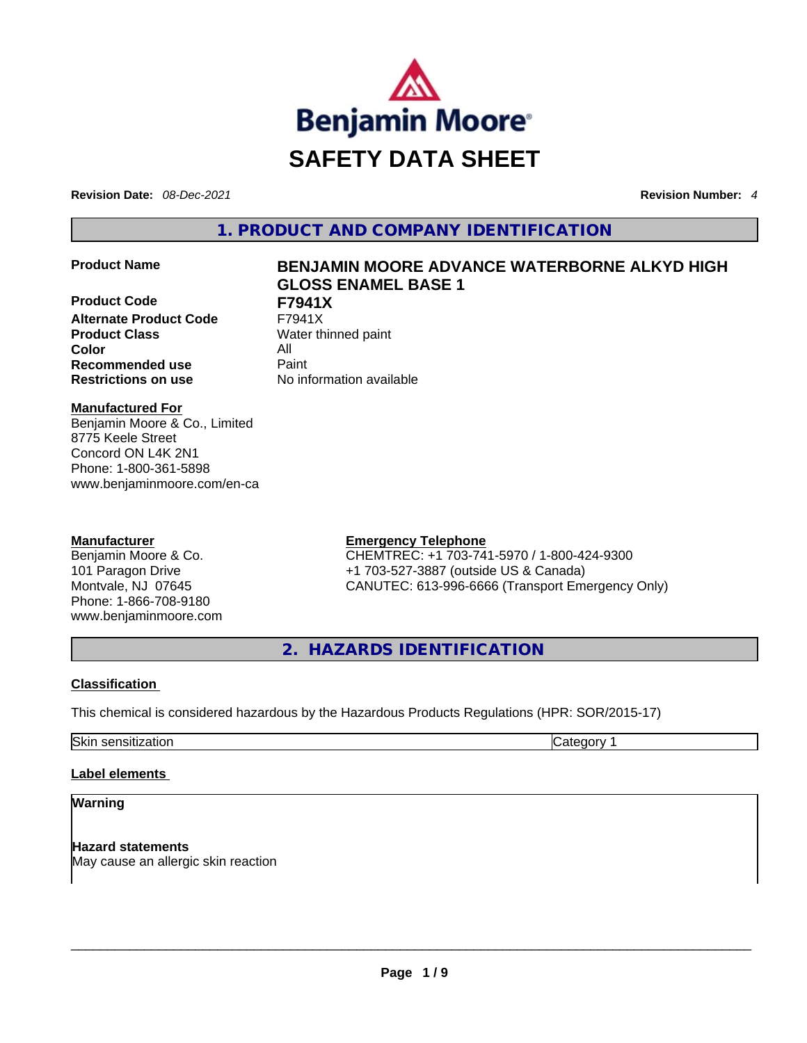

**Revision Date:** *08-Dec-2021* **Revision Number:** *4*

**1. PRODUCT AND COMPANY IDENTIFICATION** 

**Product Code F7941X Alternate Product Code Product Class Water thinned paint Color** All **Recommended use Paint Restrictions on use** No information available

# **Product Name BENJAMIN MOORE ADVANCE WATERBORNE ALKYD HIGH GLOSS ENAMEL BASE 1**

**Manufactured For** Benjamin Moore & Co., Limited 8775 Keele Street Concord ON L4K 2N1 Phone: 1-800-361-5898 www.benjaminmoore.com/en-ca

# **Manufacturer**

Benjamin Moore & Co. 101 Paragon Drive Montvale, NJ 07645 Phone: 1-866-708-9180 www.benjaminmoore.com

# **Emergency Telephone**

CHEMTREC: +1 703-741-5970 / 1-800-424-9300 +1 703-527-3887 (outside US & Canada) CANUTEC: 613-996-6666 (Transport Emergency Only)

**2. HAZARDS IDENTIFICATION** 

# **Classification**

This chemical is considered hazardous by the Hazardous Products Regulations (HPR: SOR/2015-17)

Skin sensitization **Category 1 Category 1** 

# **Label elements**

# **Warning**

**Hazard statements** May cause an allergic skin reaction \_\_\_\_\_\_\_\_\_\_\_\_\_\_\_\_\_\_\_\_\_\_\_\_\_\_\_\_\_\_\_\_\_\_\_\_\_\_\_\_\_\_\_\_\_\_\_\_\_\_\_\_\_\_\_\_\_\_\_\_\_\_\_\_\_\_\_\_\_\_\_\_\_\_\_\_\_\_\_\_\_\_\_\_\_\_\_\_\_\_\_\_\_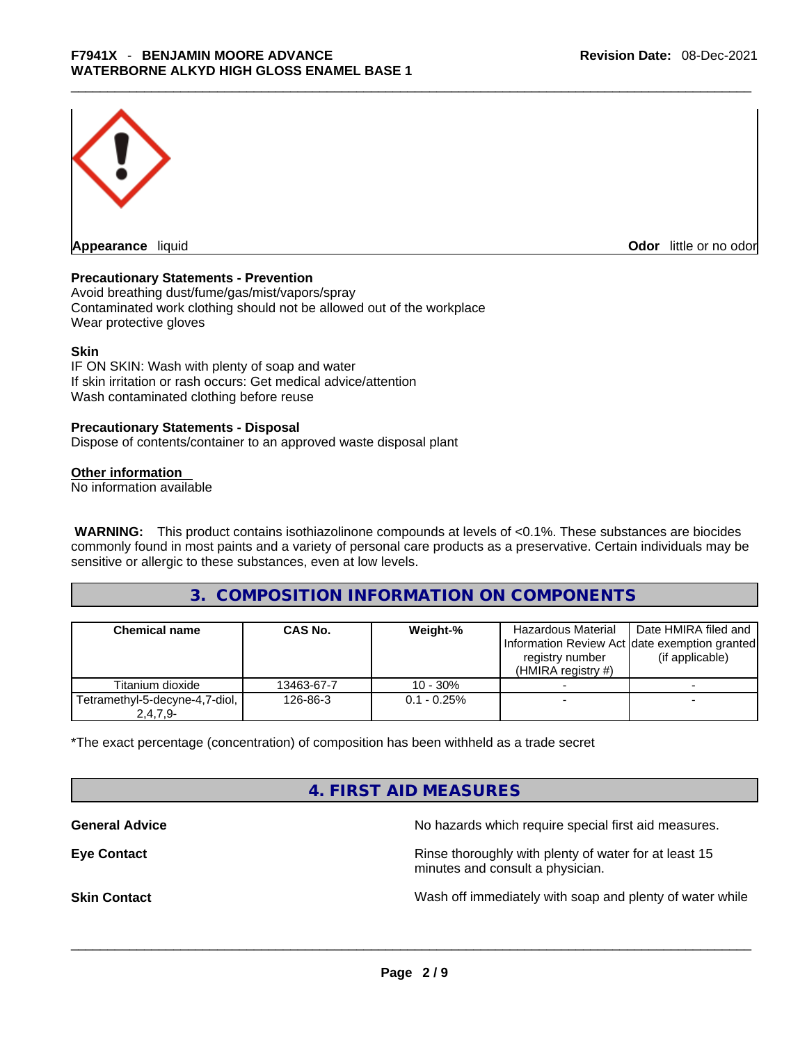

**Appearance** liquid **Odor 11** and **Odor 11** and **Odor 11** and **Odor 11** and **Odor 11** and **Odor** 11 and **Odor** 11 and **Odor** 11 and **Odor** 11 and **Odor** 11 and **Odor** 11 and **Odor** 11 and **Odor** 11 and **Odor** 11 and **Odor** 

#### **Precautionary Statements - Prevention**

Avoid breathing dust/fume/gas/mist/vapors/spray Contaminated work clothing should not be allowed out of the workplace Wear protective gloves

#### **Skin**

IF ON SKIN: Wash with plenty of soap and water If skin irritation or rash occurs: Get medical advice/attention Wash contaminated clothing before reuse

#### **Precautionary Statements - Disposal**

Dispose of contents/container to an approved waste disposal plant

#### **Other information**

No information available

**WARNING:** This product contains isothiazolinone compounds at levels of <0.1%. These substances are biocides commonly found in most paints and a variety of personal care products as a preservative. Certain individuals may be sensitive or allergic to these substances, even at low levels.

# **3. COMPOSITION INFORMATION ON COMPONENTS**

| <b>Chemical name</b>                         | <b>CAS No.</b> | Weight-%       | <b>Hazardous Material</b><br>Information Review Act date exemption granted<br>registry number<br>$(HMIRA$ registry #) | Date HMIRA filed and<br>(if applicable) |
|----------------------------------------------|----------------|----------------|-----------------------------------------------------------------------------------------------------------------------|-----------------------------------------|
| Titanium dioxide                             | 13463-67-7     | $10 - 30%$     |                                                                                                                       |                                         |
| Tetramethyl-5-decyne-4,7-diol,<br>$2,4,7,9-$ | 126-86-3       | $0.1 - 0.25\%$ |                                                                                                                       |                                         |

\*The exact percentage (concentration) of composition has been withheld as a trade secret

# **4. FIRST AID MEASURES**

**General Advice General Advice No hazards which require special first aid measures.** 

**Eye Contact <b>Rinse** thoroughly with plenty of water for at least 15 minutes and consult a physician.

**Skin Contact Number 2012 Wash off immediately with soap and plenty of water while**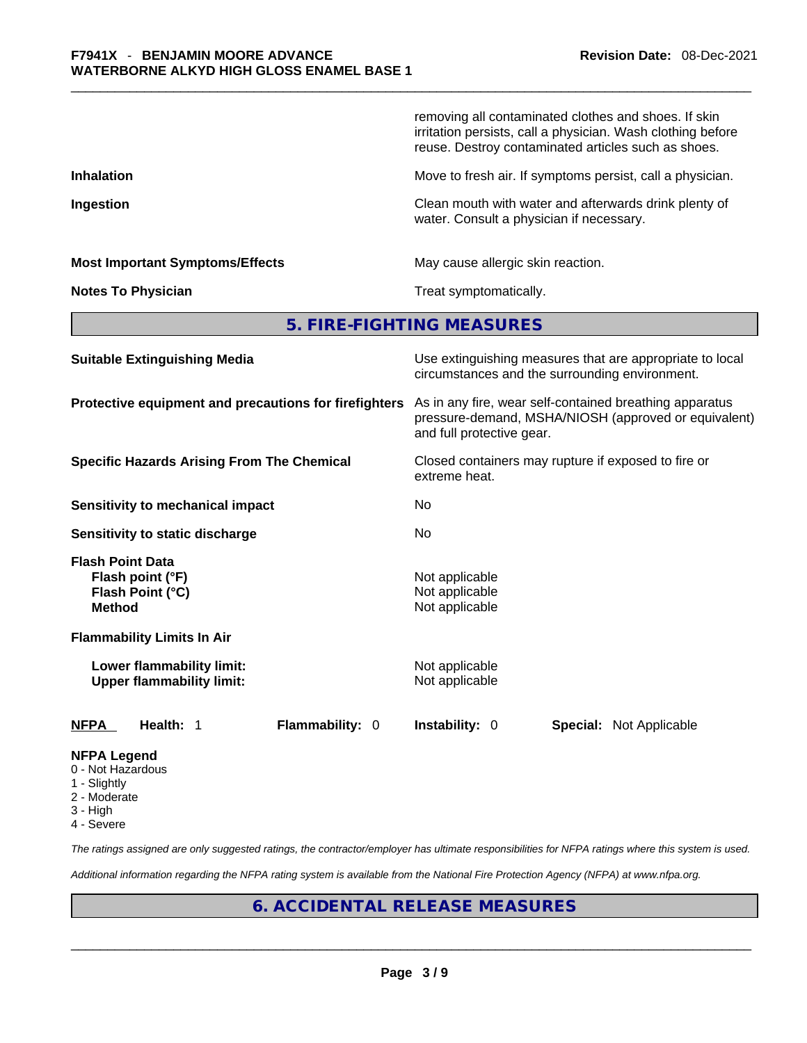|                                                                                  | removing all contaminated clothes and shoes. If skin<br>irritation persists, call a physician. Wash clothing before<br>reuse. Destroy contaminated articles such as shoes. |  |  |  |
|----------------------------------------------------------------------------------|----------------------------------------------------------------------------------------------------------------------------------------------------------------------------|--|--|--|
| <b>Inhalation</b>                                                                | Move to fresh air. If symptoms persist, call a physician.                                                                                                                  |  |  |  |
| Ingestion                                                                        | Clean mouth with water and afterwards drink plenty of<br>water. Consult a physician if necessary.                                                                          |  |  |  |
| <b>Most Important Symptoms/Effects</b>                                           | May cause allergic skin reaction.                                                                                                                                          |  |  |  |
| <b>Notes To Physician</b>                                                        | Treat symptomatically.                                                                                                                                                     |  |  |  |
|                                                                                  | 5. FIRE-FIGHTING MEASURES                                                                                                                                                  |  |  |  |
| <b>Suitable Extinguishing Media</b>                                              | Use extinguishing measures that are appropriate to local<br>circumstances and the surrounding environment.                                                                 |  |  |  |
| Protective equipment and precautions for firefighters                            | As in any fire, wear self-contained breathing apparatus<br>pressure-demand, MSHA/NIOSH (approved or equivalent)<br>and full protective gear.                               |  |  |  |
| <b>Specific Hazards Arising From The Chemical</b>                                | Closed containers may rupture if exposed to fire or<br>extreme heat.                                                                                                       |  |  |  |
| <b>Sensitivity to mechanical impact</b>                                          | No                                                                                                                                                                         |  |  |  |
| Sensitivity to static discharge                                                  | No                                                                                                                                                                         |  |  |  |
| <b>Flash Point Data</b><br>Flash point (°F)<br>Flash Point (°C)<br><b>Method</b> | Not applicable<br>Not applicable<br>Not applicable                                                                                                                         |  |  |  |
| <b>Flammability Limits In Air</b>                                                |                                                                                                                                                                            |  |  |  |
| Lower flammability limit:<br><b>Upper flammability limit:</b>                    | Not applicable<br>Not applicable                                                                                                                                           |  |  |  |
| Flammability: 0<br>NFPA<br>Health: 1                                             | Instability: 0<br><b>Special: Not Applicable</b>                                                                                                                           |  |  |  |
| NFPA Legend<br>0 - Not Hazardous                                                 |                                                                                                                                                                            |  |  |  |

- 1 Slightly
- 2 Moderate
- 3 High
- 4 Severe

*The ratings assigned are only suggested ratings, the contractor/employer has ultimate responsibilities for NFPA ratings where this system is used.* 

*Additional information regarding the NFPA rating system is available from the National Fire Protection Agency (NFPA) at www.nfpa.org.* 

# **6. ACCIDENTAL RELEASE MEASURES**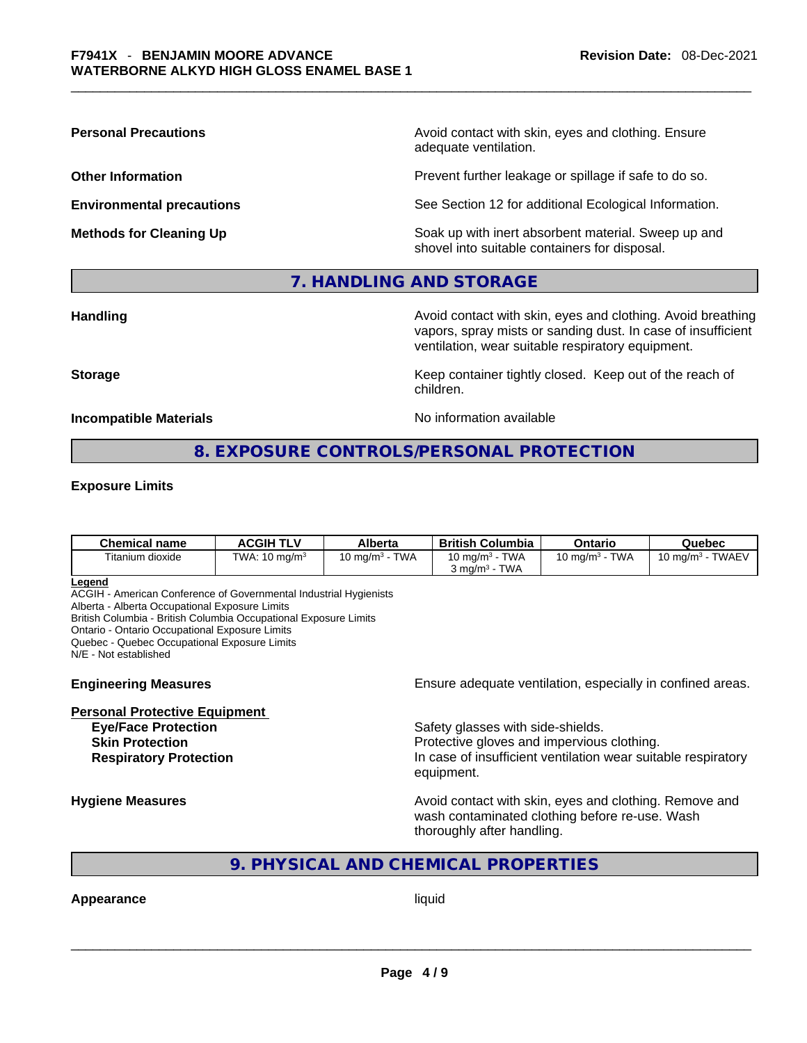**Personal Precautions Avoid contact with skin, eyes and clothing. Ensure Personal Precautions** adequate ventilation.

**Other Information Determined Intervention** Prevent further leakage or spillage if safe to do so.

**Environmental precautions** See Section 12 for additional Ecological Information.

**Methods for Cleaning Up Example 20 Soak** up with inert absorbent material. Sweep up and shovel into suitable containers for disposal.

## **7. HANDLING AND STORAGE**

**Handling Avoid contact with skin, eyes and clothing. Avoid breathing Handling Avoid breathing** vapors, spray mists or sanding dust. In case of insufficient ventilation, wear suitable respiratory equipment.

**Storage Example 20 Keep container tightly closed. Keep out of the reach of Keep** out of the reach of

**Incompatible Materials No information available No** information available

# **8. EXPOSURE CONTROLS/PERSONAL PROTECTION**

children.

#### **Exposure Limits**

| <b>Chemical name</b> | <b>ACGIH TLV</b>         | Alberta                   | <b>British Columbia</b>                                                    | Ontario                           | Quebec                                   |
|----------------------|--------------------------|---------------------------|----------------------------------------------------------------------------|-----------------------------------|------------------------------------------|
| Titanium dioxide     | TWA: $10 \text{ mg/m}^3$ | <b>TWA</b><br>10 mg/m $3$ | <b>TWA</b><br>10 mg/m <sup>3</sup> -<br><b>TWA</b><br>$3 \text{ ma/m}^3$ - | <b>TWA</b><br>$10 \text{ ma/m}^3$ | <b>TWAEV</b><br>10 mg/m <sup>3</sup> - . |

#### **Legend**

ACGIH - American Conference of Governmental Industrial Hygienists

Alberta - Alberta Occupational Exposure Limits

British Columbia - British Columbia Occupational Exposure Limits

Ontario - Ontario Occupational Exposure Limits

Quebec - Quebec Occupational Exposure Limits

N/E - Not established

#### **Personal Protective Equipment**

**Engineering Measures Ensure** Ensure adequate ventilation, especially in confined areas.

**Eye/Face Protection Safety glasses with side-shields. Skin Protection Protection Protective gloves and impervious clothing. Respiratory Protection In case of insufficient ventilation wear suitable respiratory** equipment.

**Hygiene Measures Avoid contact with skin, eyes and clothing. Remove and Avoid contact with skin, eyes and clothing. Remove and Avoid contact with skin, eyes and clothing. Remove and** wash contaminated clothing before re-use. Wash thoroughly after handling.

# **9. PHYSICAL AND CHEMICAL PROPERTIES**

# **Appearance** liquid \_\_\_\_\_\_\_\_\_\_\_\_\_\_\_\_\_\_\_\_\_\_\_\_\_\_\_\_\_\_\_\_\_\_\_\_\_\_\_\_\_\_\_\_\_\_\_\_\_\_\_\_\_\_\_\_\_\_\_\_\_\_\_\_\_\_\_\_\_\_\_\_\_\_\_\_\_\_\_\_\_\_\_\_\_\_\_\_\_\_\_\_\_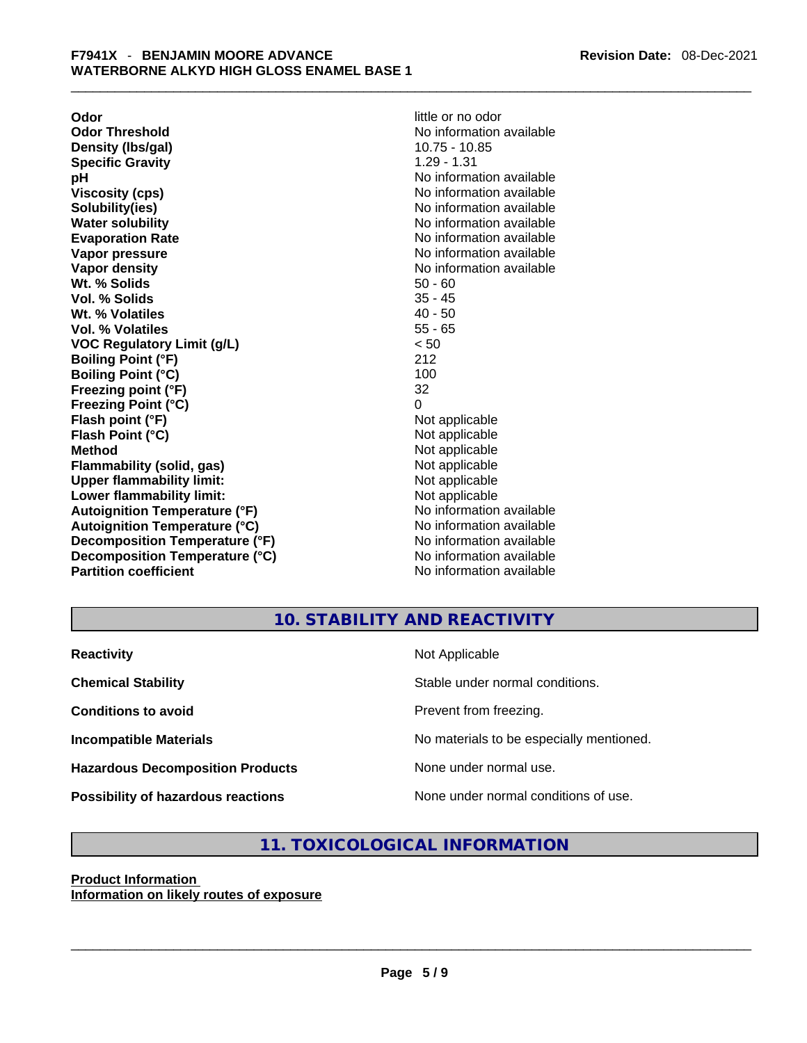**Odor little or no odor Odor Threshold**<br> **Density (Ibs/gal)**<br> **Density (Ibs/gal)**<br> **No information available**<br>
10.75 - 10.85 **Density** (Ibs/gal) **Specific Gravity** 1.29 - 1.31 **pH**<br>
Viscosity (cps) The Contract Contract Contract Contract Contract Contract Contract Contract Contract Contract C<br>
No information available **Solubility(ies)** No information available in the solution of the solution of the solution available in the solution of the solution of the solution of the solution of the solution of the solution of the solution of the so **Water solubility Water Solubility**<br> **Evaporation Rate** Moinformation available **Vapor pressure**  No information available **Vapor pressure No information available Vapor density**<br> **We Solids**<br>
We Solid Wi, % Solids<br>
We Note that the Solid Solid Solid Solid Solid Solid Solid Solid Solid Solid Solid Solid Solid Solid Solid Solid Solid Solid Solid Solid Solid Solid Solid Solid Solid So **Wt. % Solids 50 - 60<br>
<b>Vol. % Solids** 60<br> **Solids** 55 - 45 **Vol. % Solids Wt. % Volatiles** 40 - 50 **Vol. % Volatiles** 55 - 65 **VOC Regulatory Limit (g/L)** < 50 **Boiling Point (°F)** 212 **Boiling Point (°C)** 100 **Freezing point (°F)** 32 **Freezing Point (°C)** 0 **Flash point (°F)** Not applicable **Flash Point (°C)** Not applicable **Method** Not applicable **Flammability (solid, gas)** Not applicable **Upper flammability limit:** Not applicable **Lower flammability limit:** Not applicable **Autoignition Temperature (°F)** No information available **Autoignition Temperature (°C)** No information available **Decomposition Temperature (°F)** No information available **Decomposition Temperature (°C)** No information available **Partition coefficient** No information available

**Viscosity (cps)** No information available **Evaporation Rate** No information available

# **10. STABILITY AND REACTIVITY**

| <b>Reactivity</b>                       | Not Applicable                           |
|-----------------------------------------|------------------------------------------|
| <b>Chemical Stability</b>               | Stable under normal conditions.          |
| <b>Conditions to avoid</b>              | Prevent from freezing.                   |
| <b>Incompatible Materials</b>           | No materials to be especially mentioned. |
| <b>Hazardous Decomposition Products</b> | None under normal use.                   |
| Possibility of hazardous reactions      | None under normal conditions of use.     |

# **11. TOXICOLOGICAL INFORMATION**

## **Product Information Information on likely routes of exposure**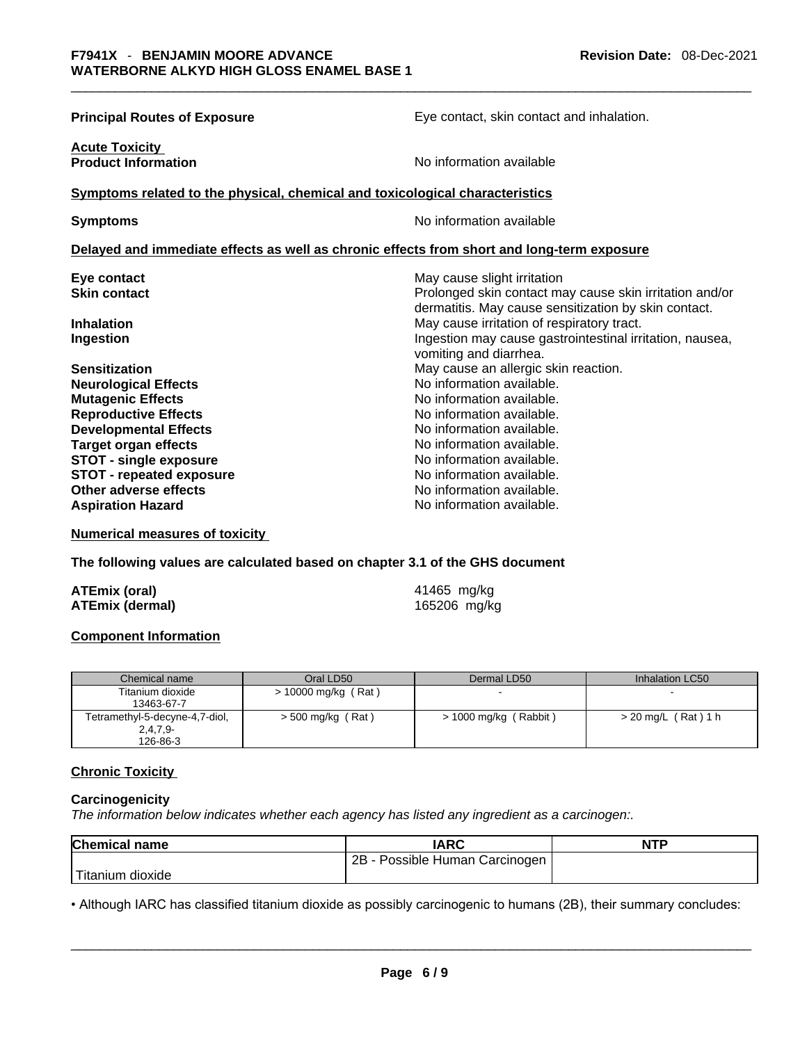| <b>Principal Routes of Exposure</b>                                                             | Eye contact, skin contact and inhalation.                                                                                                      |  |  |
|-------------------------------------------------------------------------------------------------|------------------------------------------------------------------------------------------------------------------------------------------------|--|--|
| <b>Acute Toxicity</b><br><b>Product Information</b>                                             | No information available                                                                                                                       |  |  |
| Symptoms related to the physical, chemical and toxicological characteristics                    |                                                                                                                                                |  |  |
| <b>Symptoms</b>                                                                                 | No information available                                                                                                                       |  |  |
| Delayed and immediate effects as well as chronic effects from short and long-term exposure      |                                                                                                                                                |  |  |
| Eye contact<br><b>Skin contact</b>                                                              | May cause slight irritation<br>Prolonged skin contact may cause skin irritation and/or<br>dermatitis. May cause sensitization by skin contact. |  |  |
| <b>Inhalation</b><br>Ingestion                                                                  | May cause irritation of respiratory tract.<br>Ingestion may cause gastrointestinal irritation, nausea,<br>vomiting and diarrhea.               |  |  |
| <b>Sensitization</b><br><b>Neurological Effects</b>                                             | May cause an allergic skin reaction.<br>No information available.                                                                              |  |  |
| <b>Mutagenic Effects</b><br><b>Reproductive Effects</b><br><b>Developmental Effects</b>         | No information available.<br>No information available.<br>No information available.                                                            |  |  |
| <b>Target organ effects</b><br><b>STOT - single exposure</b><br><b>STOT - repeated exposure</b> | No information available.<br>No information available.<br>No information available.                                                            |  |  |
| Other adverse effects<br><b>Aspiration Hazard</b>                                               | No information available.<br>No information available.                                                                                         |  |  |

**Numerical measures of toxicity**

**The following values are calculated based on chapter 3.1 of the GHS document**

| ATEmix (oral)          |  |
|------------------------|--|
| <b>ATEmix (dermal)</b> |  |

**ATEmix (oral)** 41465 mg/kg **ATEmix (dermal)** 165206 mg/kg

#### **Component Information**

| Chemical name                  | Oral LD50             | Dermal LD50           | Inhalation LC50       |
|--------------------------------|-----------------------|-----------------------|-----------------------|
| Titanium dioxide               | $> 10000$ mg/kg (Rat) | -                     |                       |
| 13463-67-7                     |                       |                       |                       |
| Tetramethyl-5-decyne-4,7-diol, | > 500 mg/kg (Rat)     | > 1000 mg/kg (Rabbit) | $>$ 20 mg/L (Rat) 1 h |
| $2,4,7,9-$                     |                       |                       |                       |
| 126-86-3                       |                       |                       |                       |

#### **Chronic Toxicity**

#### **Carcinogenicity**

*The information below indicates whether each agency has listed any ingredient as a carcinogen:.* 

| <b>Chemical name</b>                                                                                              | <b>IARC</b>                    | <b>NTP</b> |
|-------------------------------------------------------------------------------------------------------------------|--------------------------------|------------|
|                                                                                                                   | 2B - Possible Human Carcinogen |            |
| Titanium dioxide                                                                                                  |                                |            |
| • Although IARC has classified titanium dioxide as possibly carcinogenic to humans (2B), their summary concludes: |                                |            |

• Although IARC has classified titanium dioxide as possibly carcinogenic to humans (2B), their summary concludes: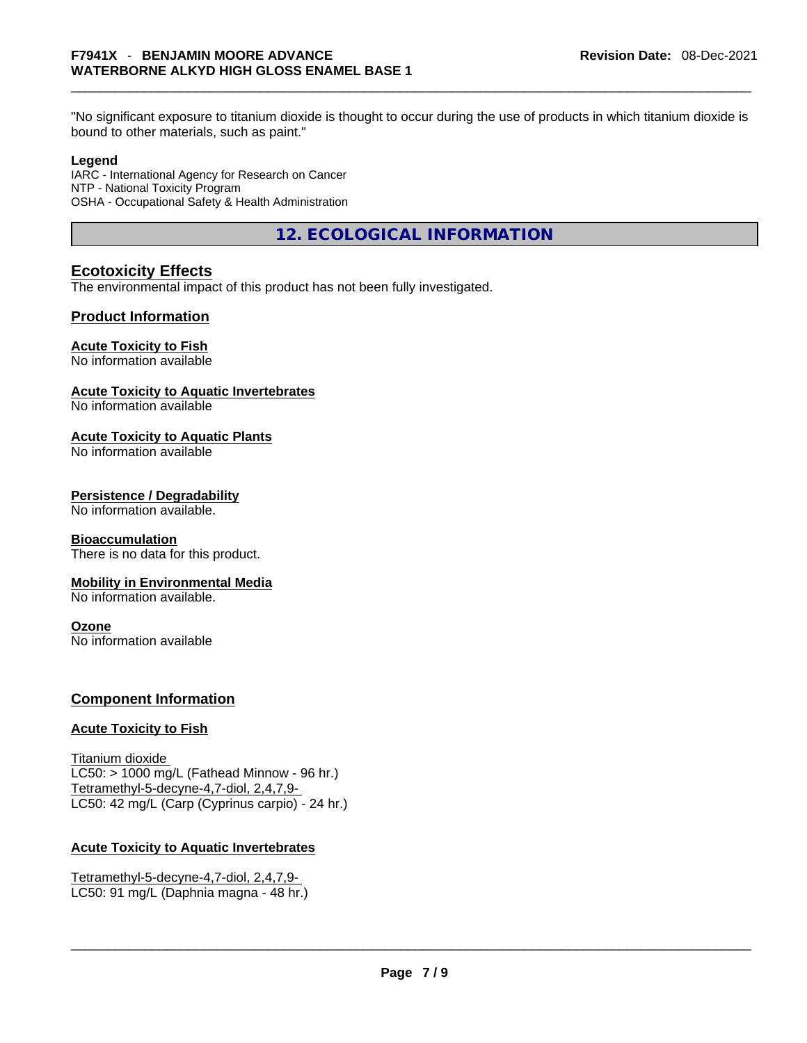bound to other materials, such as paint."

#### **Legend**

IARC - International Agency for Research on Cancer NTP - National Toxicity Program OSHA - Occupational Safety & Health Administration

**12. ECOLOGICAL INFORMATION** 

# **Ecotoxicity Effects**

The environmental impact of this product has not been fully investigated.

# **Product Information**

# **Acute Toxicity to Fish**

No information available

## **Acute Toxicity to Aquatic Invertebrates**

No information available

# **Acute Toxicity to Aquatic Plants**

No information available

## **Persistence / Degradability**

No information available.

#### **Bioaccumulation**

There is no data for this product.

# **Mobility in Environmental Media**

No information available.

#### **Ozone**

No information available

# **Component Information**

# **Acute Toxicity to Fish**

Titanium dioxide  $LC50:$  > 1000 mg/L (Fathead Minnow - 96 hr.) Tetramethyl-5-decyne-4,7-diol, 2,4,7,9- LC50: 42 mg/L (Carp (Cyprinus carpio) - 24 hr.)

# **Acute Toxicity to Aquatic Invertebrates**

Tetramethyl-5-decyne-4,7-diol, 2,4,7,9- LC50: 91 mg/L (Daphnia magna - 48 hr.)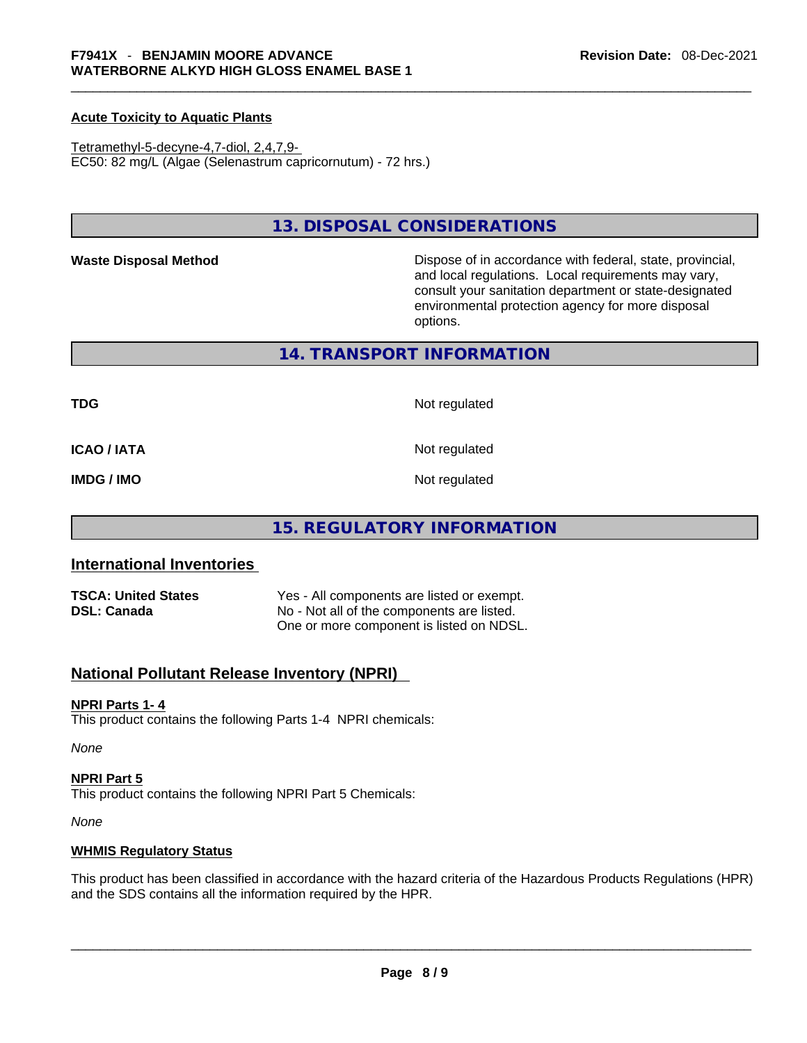### **Acute Toxicity to Aquatic Plants**

Tetramethyl-5-decyne-4,7-diol, 2,4,7,9- EC50: 82 mg/L (Algae (Selenastrum capricornutum) - 72 hrs.)

# **13. DISPOSAL CONSIDERATIONS**

Waste Disposal Method **Waste Disposal Method Dispose of in accordance with federal, state, provincial,** and local regulations. Local requirements may vary, consult your sanitation department or state-designated environmental protection agency for more disposal options.

## **14. TRANSPORT INFORMATION**

**TDG** Not regulated

**ICAO / IATA** Not regulated

**IMDG / IMO** Not regulated

# **15. REGULATORY INFORMATION**

# **International Inventories**

| <b>TSCA: United States</b> | Yes - All components are listed or exempt. |
|----------------------------|--------------------------------------------|
| <b>DSL: Canada</b>         | No - Not all of the components are listed. |
|                            | One or more component is listed on NDSL.   |

# **National Pollutant Release Inventory (NPRI)**

#### **NPRI Parts 1- 4**

This product contains the following Parts 1-4 NPRI chemicals:

*None*

#### **NPRI Part 5**

This product contains the following NPRI Part 5 Chemicals:

*None*

#### **WHMIS Regulatory Status**

This product has been classified in accordance with the hazard criteria of the Hazardous Products Regulations (HPR) and the SDS contains all the information required by the HPR. \_\_\_\_\_\_\_\_\_\_\_\_\_\_\_\_\_\_\_\_\_\_\_\_\_\_\_\_\_\_\_\_\_\_\_\_\_\_\_\_\_\_\_\_\_\_\_\_\_\_\_\_\_\_\_\_\_\_\_\_\_\_\_\_\_\_\_\_\_\_\_\_\_\_\_\_\_\_\_\_\_\_\_\_\_\_\_\_\_\_\_\_\_